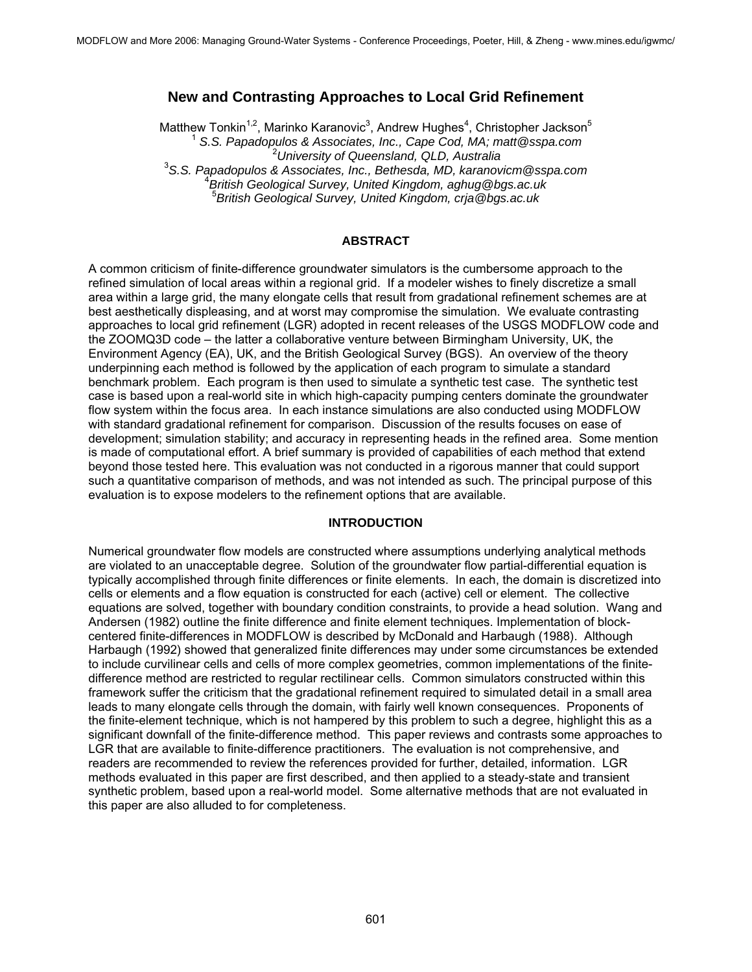# **New and Contrasting Approaches to Local Grid Refinement**

Matthew Tonkin<sup>1,2</sup>, Marinko Karanovic<sup>3</sup>, Andrew Hughes<sup>4</sup>, Christopher Jackson<sup>5</sup> 1  *S.S. Papadopulos & Associates, Inc., Cape Cod, MA; matt@sspa.com* <sup>2</sup> *University of Queensland, QLD, Australia* <sup>3</sup> *S.S. Papadopulos & Associates, Inc., Bethesda, MD, karanovicm@sspa.com* <sup>4</sup> *British Geological Survey, United Kingdom, aghug@bgs.ac.uk*  5 *British Geological Survey, United Kingdom, crja@bgs.ac.uk* 

#### **ABSTRACT**

A common criticism of finite-difference groundwater simulators is the cumbersome approach to the refined simulation of local areas within a regional grid. If a modeler wishes to finely discretize a small area within a large grid, the many elongate cells that result from gradational refinement schemes are at best aesthetically displeasing, and at worst may compromise the simulation. We evaluate contrasting approaches to local grid refinement (LGR) adopted in recent releases of the USGS MODFLOW code and the ZOOMQ3D code – the latter a collaborative venture between Birmingham University, UK, the Environment Agency (EA), UK, and the British Geological Survey (BGS). An overview of the theory underpinning each method is followed by the application of each program to simulate a standard benchmark problem. Each program is then used to simulate a synthetic test case. The synthetic test case is based upon a real-world site in which high-capacity pumping centers dominate the groundwater flow system within the focus area. In each instance simulations are also conducted using MODFLOW with standard gradational refinement for comparison. Discussion of the results focuses on ease of development; simulation stability; and accuracy in representing heads in the refined area. Some mention is made of computational effort. A brief summary is provided of capabilities of each method that extend beyond those tested here. This evaluation was not conducted in a rigorous manner that could support such a quantitative comparison of methods, and was not intended as such. The principal purpose of this evaluation is to expose modelers to the refinement options that are available.

#### **INTRODUCTION**

Numerical groundwater flow models are constructed where assumptions underlying analytical methods are violated to an unacceptable degree. Solution of the groundwater flow partial-differential equation is typically accomplished through finite differences or finite elements. In each, the domain is discretized into cells or elements and a flow equation is constructed for each (active) cell or element. The collective equations are solved, together with boundary condition constraints, to provide a head solution. Wang and Andersen (1982) outline the finite difference and finite element techniques. Implementation of blockcentered finite-differences in MODFLOW is described by McDonald and Harbaugh (1988). Although Harbaugh (1992) showed that generalized finite differences may under some circumstances be extended to include curvilinear cells and cells of more complex geometries, common implementations of the finitedifference method are restricted to regular rectilinear cells. Common simulators constructed within this framework suffer the criticism that the gradational refinement required to simulated detail in a small area leads to many elongate cells through the domain, with fairly well known consequences. Proponents of the finite-element technique, which is not hampered by this problem to such a degree, highlight this as a significant downfall of the finite-difference method. This paper reviews and contrasts some approaches to LGR that are available to finite-difference practitioners. The evaluation is not comprehensive, and readers are recommended to review the references provided for further, detailed, information. LGR methods evaluated in this paper are first described, and then applied to a steady-state and transient synthetic problem, based upon a real-world model. Some alternative methods that are not evaluated in this paper are also alluded to for completeness.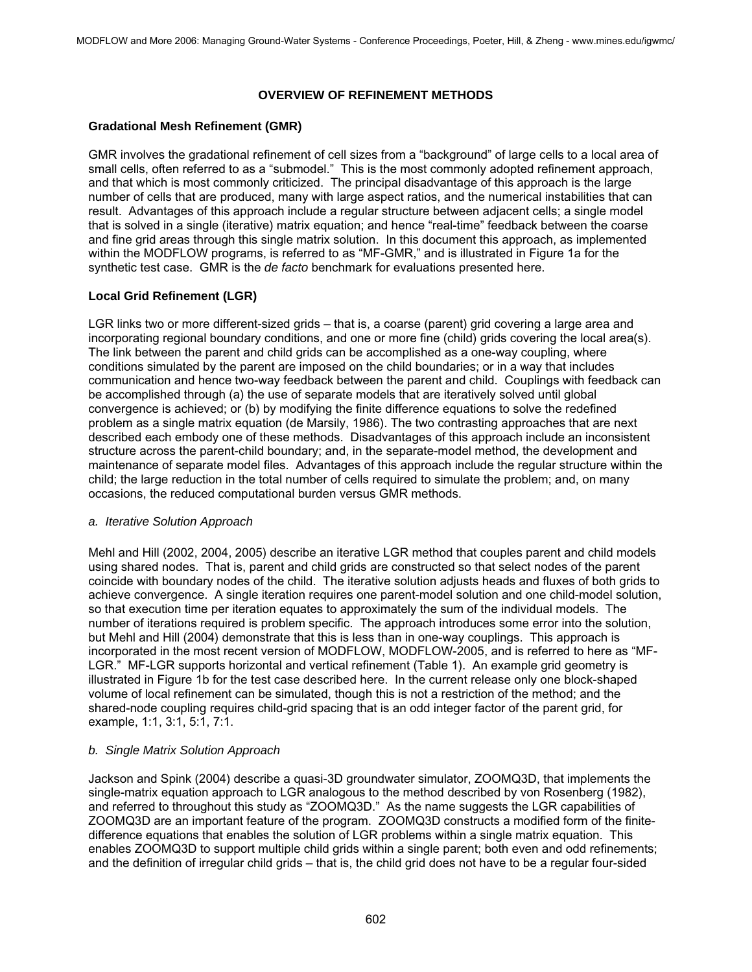# **OVERVIEW OF REFINEMENT METHODS**

# **Gradational Mesh Refinement (GMR)**

GMR involves the gradational refinement of cell sizes from a "background" of large cells to a local area of small cells, often referred to as a "submodel." This is the most commonly adopted refinement approach, and that which is most commonly criticized. The principal disadvantage of this approach is the large number of cells that are produced, many with large aspect ratios, and the numerical instabilities that can result. Advantages of this approach include a regular structure between adjacent cells; a single model that is solved in a single (iterative) matrix equation; and hence "real-time" feedback between the coarse and fine grid areas through this single matrix solution. In this document this approach, as implemented within the MODFLOW programs, is referred to as "MF-GMR," and is illustrated in Figure 1a for the synthetic test case. GMR is the *de facto* benchmark for evaluations presented here.

# **Local Grid Refinement (LGR)**

LGR links two or more different-sized grids – that is, a coarse (parent) grid covering a large area and incorporating regional boundary conditions, and one or more fine (child) grids covering the local area(s). The link between the parent and child grids can be accomplished as a one-way coupling, where conditions simulated by the parent are imposed on the child boundaries; or in a way that includes communication and hence two-way feedback between the parent and child. Couplings with feedback can be accomplished through (a) the use of separate models that are iteratively solved until global convergence is achieved; or (b) by modifying the finite difference equations to solve the redefined problem as a single matrix equation (de Marsily, 1986). The two contrasting approaches that are next described each embody one of these methods. Disadvantages of this approach include an inconsistent structure across the parent-child boundary; and, in the separate-model method, the development and maintenance of separate model files. Advantages of this approach include the regular structure within the child; the large reduction in the total number of cells required to simulate the problem; and, on many occasions, the reduced computational burden versus GMR methods.

### *a. Iterative Solution Approach*

Mehl and Hill (2002, 2004, 2005) describe an iterative LGR method that couples parent and child models using shared nodes. That is, parent and child grids are constructed so that select nodes of the parent coincide with boundary nodes of the child. The iterative solution adjusts heads and fluxes of both grids to achieve convergence. A single iteration requires one parent-model solution and one child-model solution, so that execution time per iteration equates to approximately the sum of the individual models. The number of iterations required is problem specific. The approach introduces some error into the solution, but Mehl and Hill (2004) demonstrate that this is less than in one-way couplings. This approach is incorporated in the most recent version of MODFLOW, MODFLOW-2005, and is referred to here as "MF-LGR." MF-LGR supports horizontal and vertical refinement (Table 1). An example grid geometry is illustrated in Figure 1b for the test case described here. In the current release only one block-shaped volume of local refinement can be simulated, though this is not a restriction of the method; and the shared-node coupling requires child-grid spacing that is an odd integer factor of the parent grid, for example, 1:1, 3:1, 5:1, 7:1.

### *b. Single Matrix Solution Approach*

Jackson and Spink (2004) describe a quasi-3D groundwater simulator, ZOOMQ3D, that implements the single-matrix equation approach to LGR analogous to the method described by von Rosenberg (1982), and referred to throughout this study as "ZOOMQ3D." As the name suggests the LGR capabilities of ZOOMQ3D are an important feature of the program. ZOOMQ3D constructs a modified form of the finitedifference equations that enables the solution of LGR problems within a single matrix equation. This enables ZOOMQ3D to support multiple child grids within a single parent; both even and odd refinements; and the definition of irregular child grids – that is, the child grid does not have to be a regular four-sided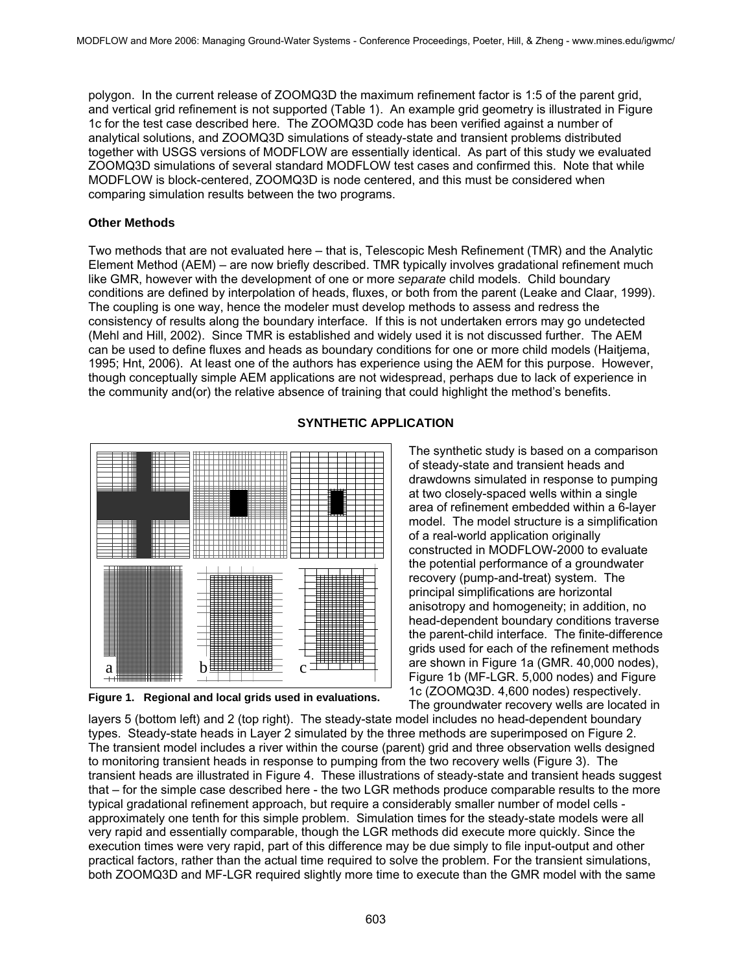polygon. In the current release of ZOOMQ3D the maximum refinement factor is 1:5 of the parent grid, and vertical grid refinement is not supported (Table 1). An example grid geometry is illustrated in Figure 1c for the test case described here. The ZOOMQ3D code has been verified against a number of analytical solutions, and ZOOMQ3D simulations of steady-state and transient problems distributed together with USGS versions of MODFLOW are essentially identical. As part of this study we evaluated ZOOMQ3D simulations of several standard MODFLOW test cases and confirmed this. Note that while MODFLOW is block-centered, ZOOMQ3D is node centered, and this must be considered when comparing simulation results between the two programs.

### **Other Methods**

Two methods that are not evaluated here – that is, Telescopic Mesh Refinement (TMR) and the Analytic Element Method (AEM) – are now briefly described. TMR typically involves gradational refinement much like GMR, however with the development of one or more *separate* child models. Child boundary conditions are defined by interpolation of heads, fluxes, or both from the parent (Leake and Claar, 1999). The coupling is one way, hence the modeler must develop methods to assess and redress the consistency of results along the boundary interface. If this is not undertaken errors may go undetected (Mehl and Hill, 2002). Since TMR is established and widely used it is not discussed further. The AEM can be used to define fluxes and heads as boundary conditions for one or more child models (Haitjema, 1995; Hnt, 2006). At least one of the authors has experience using the AEM for this purpose. However, though conceptually simple AEM applications are not widespread, perhaps due to lack of experience in the community and(or) the relative absence of training that could highlight the method's benefits.



**Figure 1. Regional and local grids used in evaluations.** 

# **SYNTHETIC APPLICATION**

The synthetic study is based on a comparison of steady-state and transient heads and drawdowns simulated in response to pumping at two closely-spaced wells within a single area of refinement embedded within a 6-layer model. The model structure is a simplification of a real-world application originally constructed in MODFLOW-2000 to evaluate the potential performance of a groundwater recovery (pump-and-treat) system. The principal simplifications are horizontal anisotropy and homogeneity; in addition, no head-dependent boundary conditions traverse the parent-child interface. The finite-difference grids used for each of the refinement methods are shown in Figure 1a (GMR. 40,000 nodes), Figure 1b (MF-LGR. 5,000 nodes) and Figure 1c (ZOOMQ3D. 4,600 nodes) respectively. The groundwater recovery wells are located in

layers 5 (bottom left) and 2 (top right). The steady-state model includes no head-dependent boundary types. Steady-state heads in Layer 2 simulated by the three methods are superimposed on Figure 2. The transient model includes a river within the course (parent) grid and three observation wells designed to monitoring transient heads in response to pumping from the two recovery wells (Figure 3). The transient heads are illustrated in Figure 4. These illustrations of steady-state and transient heads suggest that – for the simple case described here - the two LGR methods produce comparable results to the more typical gradational refinement approach, but require a considerably smaller number of model cells approximately one tenth for this simple problem. Simulation times for the steady-state models were all very rapid and essentially comparable, though the LGR methods did execute more quickly. Since the execution times were very rapid, part of this difference may be due simply to file input-output and other practical factors, rather than the actual time required to solve the problem. For the transient simulations, both ZOOMQ3D and MF-LGR required slightly more time to execute than the GMR model with the same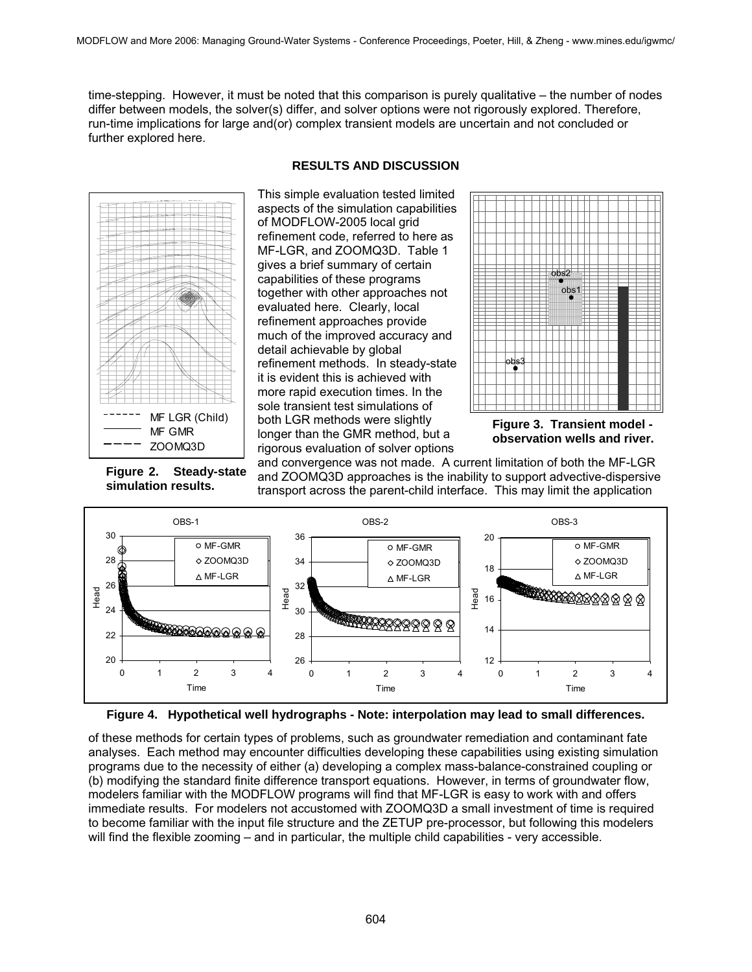time-stepping. However, it must be noted that this comparison is purely qualitative – the number of nodes differ between models, the solver(s) differ, and solver options were not rigorously explored. Therefore, run-time implications for large and(or) complex transient models are uncertain and not concluded or further explored here.



This simple evaluation tested limited



aspects of the simulation capabilities of MODFLOW-2005 local grid refinement code, referred to here as MF-LGR, and ZOOMQ3D. Table 1 gives a brief summary of certain capabilities of these programs together with other approaches not evaluated here. Clearly, local refinement approaches provide much of the improved accuracy and detail achievable by global refinement methods. In steady-state it is evident this is achieved with more rapid execution times. In the sole transient test simulations of both LGR methods were slightly longer than the GMR method, but a rigorous evaluation of solver options



**Figure 3. Transient model observation wells and river.**

**Figure 2. Steady-state simulation results.** 

and convergence was not made. A current limitation of both the MF-LGR and ZOOMQ3D approaches is the inability to support advective-dispersive transport across the parent-child interface. This may limit the application



**Figure 4. Hypothetical well hydrographs - Note: interpolation may lead to small differences.**

of these methods for certain types of problems, such as groundwater remediation and contaminant fate analyses. Each method may encounter difficulties developing these capabilities using existing simulation programs due to the necessity of either (a) developing a complex mass-balance-constrained coupling or (b) modifying the standard finite difference transport equations. However, in terms of groundwater flow, modelers familiar with the MODFLOW programs will find that MF-LGR is easy to work with and offers immediate results. For modelers not accustomed with ZOOMQ3D a small investment of time is required to become familiar with the input file structure and the ZETUP pre-processor, but following this modelers will find the flexible zooming – and in particular, the multiple child capabilities - very accessible.